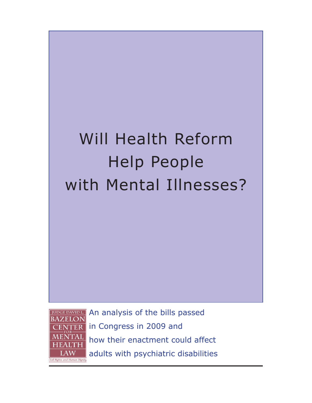# Will Health Reform Help People with Mental Illnesses?



An analysis of the bills passed in Congress in 2009 and how their enactment could affect adults with psychiatric disabilities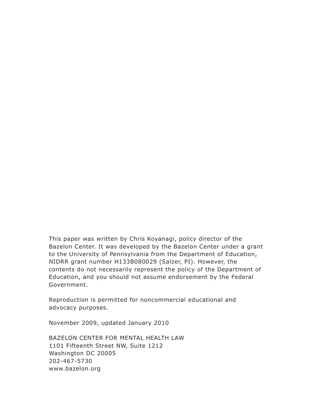This paper was written by Chris Koyanagi, policy director of the Bazelon Center. It was developed by the Bazelon Center under a grant to the University of Pennsylvania from the Department of Education, NIDRR grant number H133B080029 (Salzer, PI). However, the contents do not necessarily represent the policy of the Department of Education, and you should not assume endorsement by the Federal Government.

Reproduction is permitted for noncommercial educational and advocacy purposes.

November 2009, updated January 2010

BAZELON CENTER FOR MENTAL HEALTH LAW 1101 Fifteenth Street NW, Suite 1212 Washington DC 20005 202-467-5730 www.bazelon.org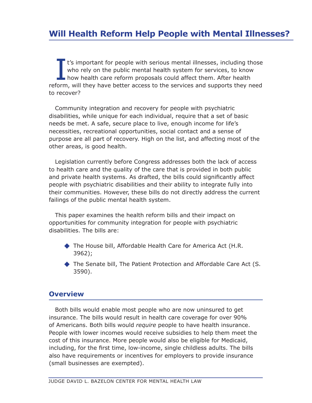I t's important for people with serious mental illnesses, including those who rely on the public mental health system for services, to know how health care reform proposals could affect them. After health reform, will they have better access to the services and supports they need to recover?

Community integration and recovery for people with psychiatric disabilities, while unique for each individual, require that a set of basic needs be met. A safe, secure place to live, enough income for life's necessities, recreational opportunities, social contact and a sense of purpose are all part of recovery. High on the list, and affecting most of the other areas, is good health.

Legislation currently before Congress addresses both the lack of access to health care and the quality of the care that is provided in both public and private health systems. As drafted, the bills could significantly affect people with psychiatric disabilities and their ability to integrate fully into their communities. However, these bills do not directly address the current failings of the public mental health system.

This paper examines the health reform bills and their impact on opportunities for community integration for people with psychiatric disabilities. The bills are:

- ◆ The House bill, Affordable Health Care for America Act (H.R. 3962);
- ◆ The Senate bill, The Patient Protection and Affordable Care Act (S. 3590).

### **Overview**

Both bills would enable most people who are now uninsured to get insurance. The bills would result in health care coverage for over 90% of Americans. Both bills would *require* people to have health insurance. People with lower incomes would receive subsidies to help them meet the cost of this insurance. More people would also be eligible for Medicaid, including, for the first time, low-income, single childless adults. The bills also have requirements or incentives for employers to provide insurance (small businesses are exempted).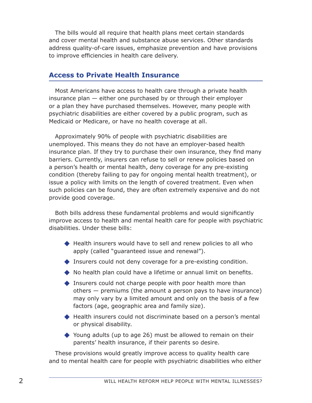The bills would all require that health plans meet certain standards and cover mental health and substance abuse services. Other standards address quality-of-care issues, emphasize prevention and have provisions to improve efficiencies in health care delivery.

# **Access to Private Health Insurance**

Most Americans have access to health care through a private health insurance plan — either one purchased by or through their employer or a plan they have purchased themselves. However, many people with psychiatric disabilities are either covered by a public program, such as Medicaid or Medicare, or have no health coverage at all.

Approximately 90% of people with psychiatric disabilities are unemployed. This means they do not have an employer-based health insurance plan. If they try to purchase their own insurance, they find many barriers. Currently, insurers can refuse to sell or renew policies based on a person's health or mental health, deny coverage for any pre-existing condition (thereby failing to pay for ongoing mental health treatment), or issue a policy with limits on the length of covered treatment. Even when such policies can be found, they are often extremely expensive and do not provide good coverage.

Both bills address these fundamental problems and would significantly improve access to health and mental health care for people with psychiatric disabilities. Under these bills:

- ◆ Health insurers would have to sell and renew policies to all who apply (called "guaranteed issue and renewal").
- ◆ Insurers could not deny coverage for a pre-existing condition.
- ◆ No health plan could have a lifetime or annual limit on benefits.
- ◆ Insurers could not charge people with poor health more than others — premiums (the amount a person pays to have insurance) may only vary by a limited amount and only on the basis of a few factors (age, geographic area and family size).
- ◆ Health insurers could not discriminate based on a person's mental or physical disability.
- ◆ Young adults (up to age 26) must be allowed to remain on their parents' health insurance, if their parents so desire.

These provisions would greatly improve access to quality health care and to mental health care for people with psychiatric disabilities who either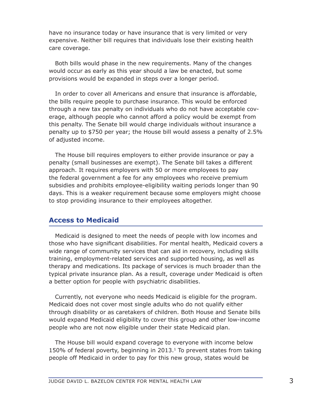have no insurance today or have insurance that is very limited or very expensive. Neither bill requires that individuals lose their existing health care coverage.

Both bills would phase in the new requirements. Many of the changes would occur as early as this year should a law be enacted, but some provisions would be expanded in steps over a longer period.

In order to cover all Americans and ensure that insurance is affordable, the bills require people to purchase insurance. This would be enforced through a new tax penalty on individuals who do not have acceptable coverage, although people who cannot afford a policy would be exempt from this penalty. The Senate bill would charge individuals without insurance a penalty up to \$750 per year; the House bill would assess a penalty of 2.5% of adjusted income.

The House bill requires employers to either provide insurance or pay a penalty (small businesses are exempt). The Senate bill takes a different approach. It requires employers with 50 or more employees to pay the federal government a fee for any employees who receive premium subsidies and prohibits employee-eligibility waiting periods longer than 90 days. This is a weaker requirement because some employers might choose to stop providing insurance to their employees altogether.

### **Access to Medicaid**

Medicaid is designed to meet the needs of people with low incomes and those who have significant disabilities. For mental health, Medicaid covers a wide range of community services that can aid in recovery, including skills training, employment-related services and supported housing, as well as therapy and medications. Its package of services is much broader than the typical private insurance plan. As a result, coverage under Medicaid is often a better option for people with psychiatric disabilities.

Currently, not everyone who needs Medicaid is eligible for the program. Medicaid does not cover most single adults who do not qualify either through disability or as caretakers of children. Both House and Senate bills would expand Medicaid eligibility to cover this group and other low-income people who are not now eligible under their state Medicaid plan.

The House bill would expand coverage to everyone with income below 150% of federal poverty, beginning in 2013. $1$  To prevent states from taking people off Medicaid in order to pay for this new group, states would be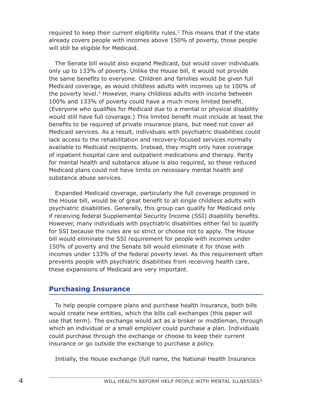required to keep their current eligibility rules.<sup>2</sup> This means that if the state already covers people with incomes above 150% of poverty, those people will still be eligible for Medicaid.

The Senate bill would also expand Medicaid, but would cover individuals only up to 133% of poverty. Unlike the House bill, it would not provide the same benefits to everyone. Children and families would be given full Medicaid coverage, as would childless adults with incomes up to 100% of the poverty level.<sup>3</sup> However, many childless adults with income between 100% and 133% of poverty could have a much more limited benefit. (Everyone who qualifies for Medicaid due to a mental or physical disability would still have full coverage.) This limited benefit must include at least the benefits to be required of private insurance plans, but need not cover all Medicaid services. As a result, individuals with psychiatric disabilities could lack access to the rehabilitation and recovery-focused services normally available to Medicaid recipients. Instead, they might only have coverage of inpatient hospital care and outpatient medications and therapy. Parity for mental health and substance abuse is also required, so these reduced Medicaid plans could not have limits on necessary mental health and substance abuse services.

Expanded Medicaid coverage, particularly the full coverage proposed in the House bill, would be of great benefit to all single childless adults with psychiatric disabilities. Generally, this group can qualify for Medicaid only if receiving federal Supplemental Security Income (SSI) disability benefits. However, many individuals with psychiatric disabilities either fail to qualify for SSI because the rules are so strict or choose not to apply. The House bill would eliminate the SSI requirement for people with incomes under 150% of poverty and the Senate bill would eliminate it for those with incomes under 133% of the federal poverty level. As this requirement often prevents people with psychiatric disabilities from receiving health care, these expansions of Medicaid are very important.

# **Purchasing Insurance**

To help people compare plans and purchase health insurance, both bills would create new entities, which the bills call exchanges (this paper will use that term). The exchange would act as a broker or middleman, through which an individual or a small employer could purchase a plan. Individuals could purchase through the exchange or choose to keep their current insurance or go outside the exchange to purchase a policy.

Initially, the House exchange (full name, the National Health Insurance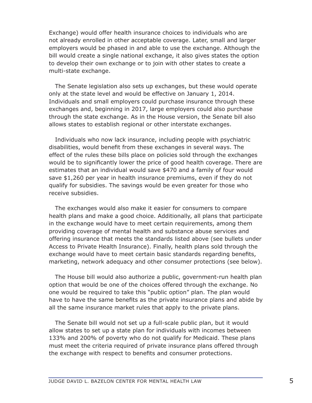Exchange) would offer health insurance choices to individuals who are not already enrolled in other acceptable coverage. Later, small and larger employers would be phased in and able to use the exchange. Although the bill would create a single national exchange, it also gives states the option to develop their own exchange or to join with other states to create a multi-state exchange.

The Senate legislation also sets up exchanges, but these would operate only at the state level and would be effective on January 1, 2014. Individuals and small employers could purchase insurance through these exchanges and, beginning in 2017, large employers could also purchase through the state exchange. As in the House version, the Senate bill also allows states to establish regional or other interstate exchanges.

Individuals who now lack insurance, including people with psychiatric disabilities, would benefit from these exchanges in several ways. The effect of the rules these bills place on policies sold through the exchanges would be to significantly lower the price of good health coverage. There are estimates that an individual would save \$470 and a family of four would save \$1,260 per year in health insurance premiums, even if they do not qualify for subsidies. The savings would be even greater for those who receive subsidies.

The exchanges would also make it easier for consumers to compare health plans and make a good choice. Additionally, all plans that participate in the exchange would have to meet certain requirements, among them providing coverage of mental health and substance abuse services and offering insurance that meets the standards listed above (see bullets under Access to Private Health Insurance). Finally, health plans sold through the exchange would have to meet certain basic standards regarding benefits, marketing, network adequacy and other consumer protections (see below).

The House bill would also authorize a public, government-run health plan option that would be one of the choices offered through the exchange. No one would be required to take this "public option" plan. The plan would have to have the same benefits as the private insurance plans and abide by all the same insurance market rules that apply to the private plans.

The Senate bill would not set up a full-scale public plan, but it would allow states to set up a state plan for individuals with incomes between 133% and 200% of poverty who do not qualify for Medicaid. These plans must meet the criteria required of private insurance plans offered through the exchange with respect to benefits and consumer protections.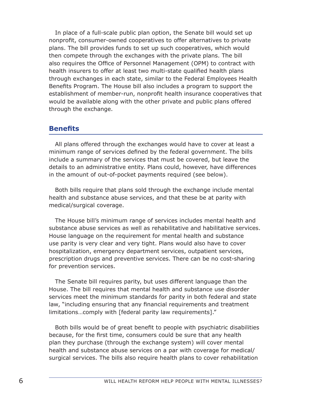In place of a full-scale public plan option, the Senate bill would set up nonprofit, consumer-owned cooperatives to offer alternatives to private plans. The bill provides funds to set up such cooperatives, which would then compete through the exchanges with the private plans. The bill also requires the Office of Personnel Management (OPM) to contract with health insurers to offer at least two multi-state qualified health plans through exchanges in each state, similar to the Federal Employees Health Benefits Program. The House bill also includes a program to support the establishment of member-run, nonprofit health insurance cooperatives that would be available along with the other private and public plans offered through the exchange.

#### **Benefits**

All plans offered through the exchanges would have to cover at least a minimum range of services defined by the federal government. The bills include a summary of the services that must be covered, but leave the details to an administrative entity. Plans could, however, have differences in the amount of out-of-pocket payments required (see below).

Both bills require that plans sold through the exchange include mental health and substance abuse services, and that these be at parity with medical/surgical coverage.

The House bill's minimum range of services includes mental health and substance abuse services as well as rehabilitative and habilitative services. House language on the requirement for mental health and substance use parity is very clear and very tight. Plans would also have to cover hospitalization, emergency department services, outpatient services, prescription drugs and preventive services. There can be no cost-sharing for prevention services.

The Senate bill requires parity, but uses different language than the House. The bill requires that mental health and substance use disorder services meet the minimum standards for parity in both federal and state law, "including ensuring that any financial requirements and treatment limitations…comply with [federal parity law requirements]."

Both bills would be of great benefit to people with psychiatric disabilities because, for the first time, consumers could be sure that any health plan they purchase (through the exchange system) will cover mental health and substance abuse services on a par with coverage for medical/ surgical services. The bills also require health plans to cover rehabilitation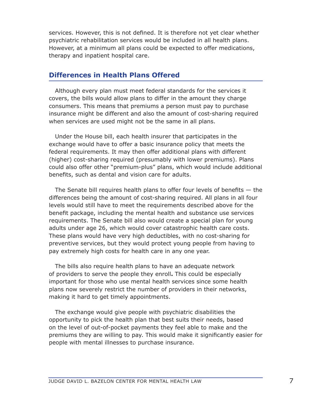services. However, this is not defined. It is therefore not yet clear whether psychiatric rehabilitation services would be included in all health plans. However, at a minimum all plans could be expected to offer medications, therapy and inpatient hospital care.

# **Differences in Health Plans Offered**

Although every plan must meet federal standards for the services it covers, the bills would allow plans to differ in the amount they charge consumers. This means that premiums a person must pay to purchase insurance might be different and also the amount of cost-sharing required when services are used might not be the same in all plans.

Under the House bill, each health insurer that participates in the exchange would have to offer a basic insurance policy that meets the federal requirements. It may then offer additional plans with different (higher) cost-sharing required (presumably with lower premiums). Plans could also offer other "premium-plus" plans, which would include additional benefits, such as dental and vision care for adults.

The Senate bill requires health plans to offer four levels of benefits  $-$  the differences being the amount of cost-sharing required. All plans in all four levels would still have to meet the requirements described above for the benefit package, including the mental health and substance use services requirements. The Senate bill also would create a special plan for young adults under age 26, which would cover catastrophic health care costs. These plans would have very high deductibles, with no cost-sharing for preventive services, but they would protect young people from having to pay extremely high costs for health care in any one year.

The bills also require health plans to have an adequate network of providers to serve the people they enroll**.** This could be especially important for those who use mental health services since some health plans now severely restrict the number of providers in their networks, making it hard to get timely appointments.

The exchange would give people with psychiatric disabilities the opportunity to pick the health plan that best suits their needs, based on the level of out-of-pocket payments they feel able to make and the premiums they are willing to pay. This would make it significantly easier for people with mental illnesses to purchase insurance.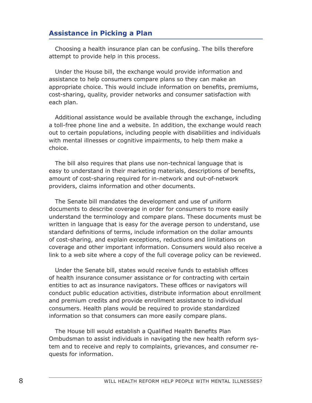# **Assistance in Picking a Plan**

Choosing a health insurance plan can be confusing. The bills therefore attempt to provide help in this process.

Under the House bill, the exchange would provide information and assistance to help consumers compare plans so they can make an appropriate choice. This would include information on benefits, premiums, cost-sharing, quality, provider networks and consumer satisfaction with each plan.

Additional assistance would be available through the exchange, including a toll-free phone line and a website. In addition, the exchange would reach out to certain populations, including people with disabilities and individuals with mental illnesses or cognitive impairments, to help them make a choice.

The bill also requires that plans use non-technical language that is easy to understand in their marketing materials, descriptions of benefits, amount of cost-sharing required for in-network and out-of-network providers, claims information and other documents.

The Senate bill mandates the development and use of uniform documents to describe coverage in order for consumers to more easily understand the terminology and compare plans. These documents must be written in language that is easy for the average person to understand, use standard definitions of terms, include information on the dollar amounts of cost-sharing, and explain exceptions, reductions and limitations on coverage and other important information. Consumers would also receive a link to a web site where a copy of the full coverage policy can be reviewed.

Under the Senate bill, states would receive funds to establish offices of health insurance consumer assistance or for contracting with certain entities to act as insurance navigators. These offices or navigators will conduct public education activities, distribute information about enrollment and premium credits and provide enrollment assistance to individual consumers. Health plans would be required to provide standardized information so that consumers can more easily compare plans.

The House bill would establish a Qualified Health Benefits Plan Ombudsman to assist individuals in navigating the new health reform system and to receive and reply to complaints, grievances, and consumer requests for information.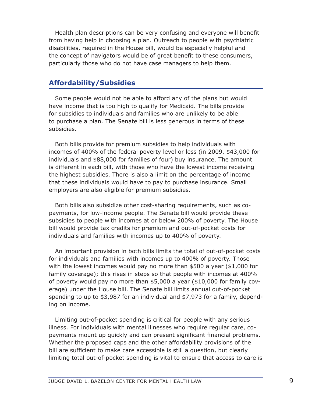Health plan descriptions can be very confusing and everyone will benefit from having help in choosing a plan. Outreach to people with psychiatric disabilities, required in the House bill, would be especially helpful and the concept of navigators would be of great benefit to these consumers, particularly those who do not have case managers to help them.

# **Affordability/Subsidies**

Some people would not be able to afford any of the plans but would have income that is too high to qualify for Medicaid. The bills provide for subsidies to individuals and families who are unlikely to be able to purchase a plan. The Senate bill is less generous in terms of these subsidies.

Both bills provide for premium subsidies to help individuals with incomes of 400% of the federal poverty level or less (in 2009, \$43,000 for individuals and \$88,000 for families of four) buy insurance. The amount is different in each bill, with those who have the lowest income receiving the highest subsidies. There is also a limit on the percentage of income that these individuals would have to pay to purchase insurance. Small employers are also eligible for premium subsidies.

Both bills also subsidize other cost-sharing requirements, such as copayments, for low-income people. The Senate bill would provide these subsidies to people with incomes at or below 200% of poverty. The House bill would provide tax credits for premium and out-of-pocket costs for individuals and families with incomes up to 400% of poverty.

An important provision in both bills limits the total of out-of-pocket costs for individuals and families with incomes up to 400% of poverty. Those with the lowest incomes would pay no more than \$500 a year (\$1,000 for family coverage); this rises in steps so that people with incomes at 400% of poverty would pay no more than \$5,000 a year (\$10,000 for family coverage) under the House bill. The Senate bill limits annual out-of-pocket spending to up to \$3,987 for an individual and \$7,973 for a family, depending on income.

Limiting out-of-pocket spending is critical for people with any serious illness. For individuals with mental illnesses who require regular care, copayments mount up quickly and can present significant financial problems. Whether the proposed caps and the other affordability provisions of the bill are sufficient to make care accessible is still a question, but clearly limiting total out-of-pocket spending is vital to ensure that access to care is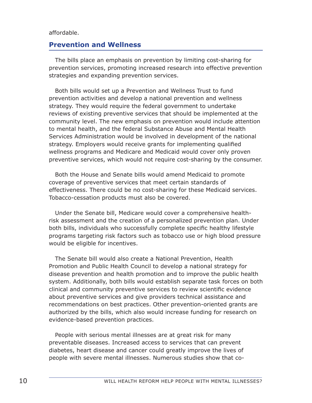#### affordable.

### **Prevention and Wellness**

The bills place an emphasis on prevention by limiting cost-sharing for prevention services, promoting increased research into effective prevention strategies and expanding prevention services.

Both bills would set up a Prevention and Wellness Trust to fund prevention activities and develop a national prevention and wellness strategy. They would require the federal government to undertake reviews of existing preventive services that should be implemented at the community level. The new emphasis on prevention would include attention to mental health, and the federal Substance Abuse and Mental Health Services Administration would be involved in development of the national strategy. Employers would receive grants for implementing qualified wellness programs and Medicare and Medicaid would cover only proven preventive services, which would not require cost-sharing by the consumer.

Both the House and Senate bills would amend Medicaid to promote coverage of preventive services that meet certain standards of effectiveness. There could be no cost-sharing for these Medicaid services. Tobacco-cessation products must also be covered.

Under the Senate bill, Medicare would cover a comprehensive healthrisk assessment and the creation of a personalized prevention plan. Under both bills, individuals who successfully complete specific healthy lifestyle programs targeting risk factors such as tobacco use or high blood pressure would be eligible for incentives.

The Senate bill would also create a National Prevention, Health Promotion and Public Health Council to develop a national strategy for disease prevention and health promotion and to improve the public health system. Additionally, both bills would establish separate task forces on both clinical and community preventive services to review scientific evidence about preventive services and give providers technical assistance and recommendations on best practices. Other prevention-oriented grants are authorized by the bills, which also would increase funding for research on evidence-based prevention practices.

People with serious mental illnesses are at great risk for many preventable diseases. Increased access to services that can prevent diabetes, heart disease and cancer could greatly improve the lives of people with severe mental illnesses. Numerous studies show that co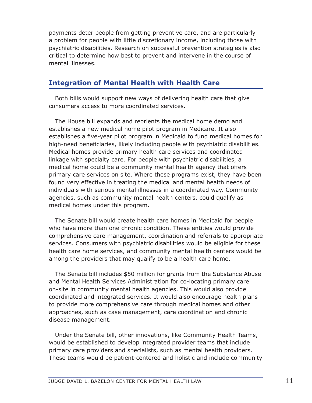payments deter people from getting preventive care, and are particularly a problem for people with little discretionary income, including those with psychiatric disabilities. Research on successful prevention strategies is also critical to determine how best to prevent and intervene in the course of mental illnesses.

# **Integration of Mental Health with Health Care**

Both bills would support new ways of delivering health care that give consumers access to more coordinated services.

The House bill expands and reorients the medical home demo and establishes a new medical home pilot program in Medicare. It also establishes a five-year pilot program in Medicaid to fund medical homes for high-need beneficiaries, likely including people with psychiatric disabilities. Medical homes provide primary health care services and coordinated linkage with specialty care. For people with psychiatric disabilities, a medical home could be a community mental health agency that offers primary care services on site. Where these programs exist, they have been found very effective in treating the medical and mental health needs of individuals with serious mental illnesses in a coordinated way. Community agencies, such as community mental health centers, could qualify as medical homes under this program.

The Senate bill would create health care homes in Medicaid for people who have more than one chronic condition. These entities would provide comprehensive care management, coordination and referrals to appropriate services. Consumers with psychiatric disabilities would be eligible for these health care home services, and community mental health centers would be among the providers that may qualify to be a health care home.

The Senate bill includes \$50 million for grants from the Substance Abuse and Mental Health Services Administration for co-locating primary care on-site in community mental health agencies. This would also provide coordinated and integrated services. It would also encourage health plans to provide more comprehensive care through medical homes and other approaches, such as case management, care coordination and chronic disease management.

Under the Senate bill, other innovations, like Community Health Teams, would be established to develop integrated provider teams that include primary care providers and specialists, such as mental health providers. These teams would be patient-centered and holistic and include community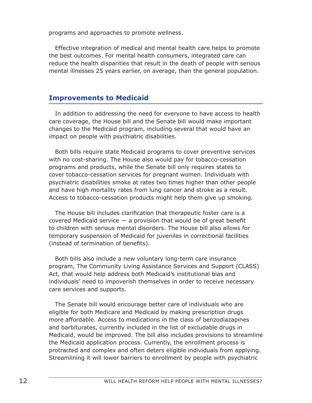programs and approaches to promote wellness.

Effective integration of medical and mental health care helps to promote the best outcomes. For mental health consumers, integrated care can reduce the health disparities that result in the death of people with serious mental illnesses 25 years earlier, on average, than the general population.

# **Improvements to Medicaid**

In addition to addressing the need for everyone to have access to health care coverage, the House bill and the Senate bill would make important changes to the Medicaid program, including several that would have an impact on people with psychiatric disabilities.

Both bills require state Medicaid programs to cover preventive services with no cost-sharing. The House also would pay for tobacco-cessation programs and products, while the Senate bill only requires states to cover tobacco-cessation services for pregnant women. Individuals with psychiatric disabilities smoke at rates two times higher than other people and have high mortality rates from lung cancer and stroke as a result. Access to tobacco-cessation products might help them give up smoking.

The House bill includes clarification that therapeutic foster care is a covered Medicaid service  $-$  a provision that would be of great benefit to children with serious mental disorders. The House bill also allows for temporary suspension of Medicaid for juveniles in correctional facilities (instead of termination of benefits).

Both bills also include a new voluntary long-term care insurance program, The Community Living Assistance Services and Support (CLASS) Act, that would help address both Medicaid's institutional bias and individuals' need to impoverish themselves in order to receive necessary care services and supports.

The Senate bill would encourage better care of individuals who are eligible for both Medicare and Medicaid by making prescription drugs more affordable. Access to medications in the class of benzodiazapines and barbiturates, currently included in the list of excludable drugs in Medicaid, would be improved. The bill also includes provisions to streamline the Medicaid application process. Currently, the enrollment process is protracted and complex and often deters eligible individuals from applying. Streamlining it will lower barriers to enrollment by people with psychiatric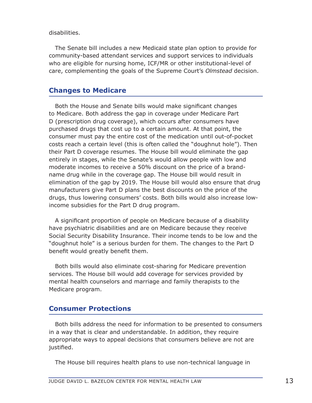#### disabilities.

The Senate bill includes a new Medicaid state plan option to provide for community-based attendant services and support services to individuals who are eligible for nursing home, ICF/MR or other institutional-level of care, complementing the goals of the Supreme Court's *Olmstead* decision.

# **Changes to Medicare**

Both the House and Senate bills would make significant changes to Medicare. Both address the gap in coverage under Medicare Part D (prescription drug coverage), which occurs after consumers have purchased drugs that cost up to a certain amount. At that point, the consumer must pay the entire cost of the medication until out-of-pocket costs reach a certain level (this is often called the "doughnut hole"). Then their Part D coverage resumes. The House bill would eliminate the gap entirely in stages, while the Senate's would allow people with low and moderate incomes to receive a 50% discount on the price of a brandname drug while in the coverage gap. The House bill would result in elimination of the gap by 2019. The House bill would also ensure that drug manufacturers give Part D plans the best discounts on the price of the drugs, thus lowering consumers' costs. Both bills would also increase lowincome subsidies for the Part D drug program.

A significant proportion of people on Medicare because of a disability have psychiatric disabilities and are on Medicare because they receive Social Security Disability Insurance. Their income tends to be low and the "doughnut hole" is a serious burden for them. The changes to the Part D benefit would greatly benefit them.

Both bills would also eliminate cost-sharing for Medicare prevention services. The House bill would add coverage for services provided by mental health counselors and marriage and family therapists to the Medicare program.

# **Consumer Protections**

Both bills address the need for information to be presented to consumers in a way that is clear and understandable. In addition, they require appropriate ways to appeal decisions that consumers believe are not are justified.

The House bill requires health plans to use non-technical language in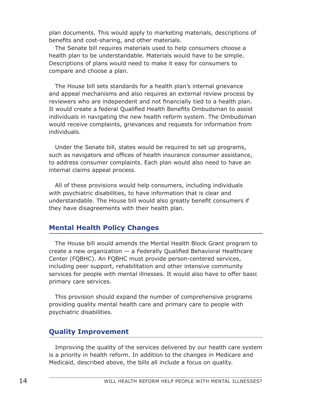plan documents. This would apply to marketing materials, descriptions of benefits and cost-sharing, and other materials.

The Senate bill requires materials used to help consumers choose a health plan to be understandable. Materials would have to be simple. Descriptions of plans would need to make it easy for consumers to compare and choose a plan.

The House bill sets standards for a health plan's internal grievance and appeal mechanisms and also requires an external review process by reviewers who are independent and not financially tied to a health plan. It would create a federal Qualified Health Benefits Ombudsman to assist individuals in navigating the new health reform system. The Ombudsman would receive complaints, grievances and requests for information from individuals.

Under the Senate bill, states would be required to set up programs, such as navigators and offices of health insurance consumer assistance, to address consumer complaints. Each plan would also need to have an internal claims appeal process.

All of these provisions would help consumers, including individuals with psychiatric disabilities, to have information that is clear and understandable. The House bill would also greatly benefit consumers if they have disagreements with their health plan.

# **Mental Health Policy Changes**

The House bill would amends the Mental Health Block Grant program to create a new organization — a Federally Qualified Behavioral Healthcare Center (FQBHC). An FQBHC must provide person-centered services, including peer support, rehabilitation and other intensive community services for people with mental illnesses. It would also have to offer basic primary care services.

This provision should expand the number of comprehensive programs providing quality mental health care and primary care to people with psychiatric disabilities.

# **Quality Improvement**

Improving the quality of the services delivered by our health care system is a priority in health reform. In addition to the changes in Medicare and Medicaid, described above, the bills all include a focus on quality.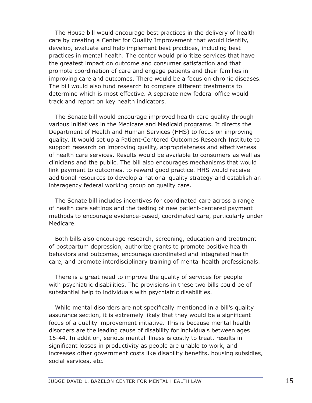The House bill would encourage best practices in the delivery of health care by creating a Center for Quality Improvement that would identify, develop, evaluate and help implement best practices, including best practices in mental health. The center would prioritize services that have the greatest impact on outcome and consumer satisfaction and that promote coordination of care and engage patients and their families in improving care and outcomes. There would be a focus on chronic diseases. The bill would also fund research to compare different treatments to determine which is most effective. A separate new federal office would track and report on key health indicators.

The Senate bill would encourage improved health care quality through various initiatives in the Medicare and Medicaid programs. It directs the Department of Health and Human Services (HHS) to focus on improving quality. It would set up a Patient-Centered Outcomes Research Institute to support research on improving quality, appropriateness and effectiveness of health care services. Results would be available to consumers as well as clinicians and the public. The bill also encourages mechanisms that would link payment to outcomes, to reward good practice. HHS would receive additional resources to develop a national quality strategy and establish an interagency federal working group on quality care.

The Senate bill includes incentives for coordinated care across a range of health care settings and the testing of new patient-centered payment methods to encourage evidence-based, coordinated care, particularly under Medicare.

Both bills also encourage research, screening, education and treatment of postpartum depression, authorize grants to promote positive health behaviors and outcomes, encourage coordinated and integrated health care, and promote interdisciplinary training of mental health professionals.

There is a great need to improve the quality of services for people with psychiatric disabilities. The provisions in these two bills could be of substantial help to individuals with psychiatric disabilities.

While mental disorders are not specifically mentioned in a bill's quality assurance section, it is extremely likely that they would be a significant focus of a quality improvement initiative. This is because mental health disorders are the leading cause of disability for individuals between ages 15-44. In addition, serious mental illness is costly to treat, results in significant losses in productivity as people are unable to work, and increases other government costs like disability benefits, housing subsidies, social services, etc.